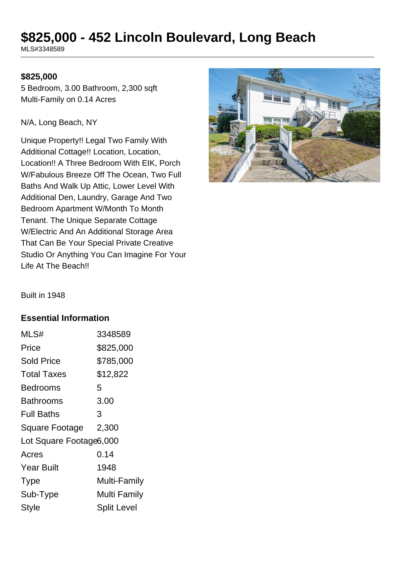# **\$825,000 - 452 Lincoln Boulevard, Long Beach**

MLS#3348589

## **\$825,000**

5 Bedroom, 3.00 Bathroom, 2,300 sqft Multi-Family on 0.14 Acres

N/A, Long Beach, NY

Unique Property!! Legal Two Family With Additional Cottage!! Location, Location, Location!! A Three Bedroom With EIK, Porch W/Fabulous Breeze Off The Ocean, Two Full Baths And Walk Up Attic, Lower Level With Additional Den, Laundry, Garage And Two Bedroom Apartment W/Month To Month Tenant. The Unique Separate Cottage W/Electric And An Additional Storage Area That Can Be Your Special Private Creative Studio Or Anything You Can Imagine For Your Life At The Beach!!



Built in 1948

#### **Essential Information**

| MLS#                    | 3348589            |
|-------------------------|--------------------|
| Price                   | \$825,000          |
| <b>Sold Price</b>       | \$785,000          |
| <b>Total Taxes</b>      | \$12,822           |
| <b>Bedrooms</b>         | 5                  |
| <b>Bathrooms</b>        | 3.00               |
| <b>Full Baths</b>       | 3                  |
| Square Footage          | 2,300              |
| Lot Square Footage6,000 |                    |
| Acres                   | 0.14               |
| <b>Year Built</b>       | 1948               |
| <b>Type</b>             | Multi-Family       |
| Sub-Type                | Multi Family       |
| <b>Style</b>            | <b>Split Level</b> |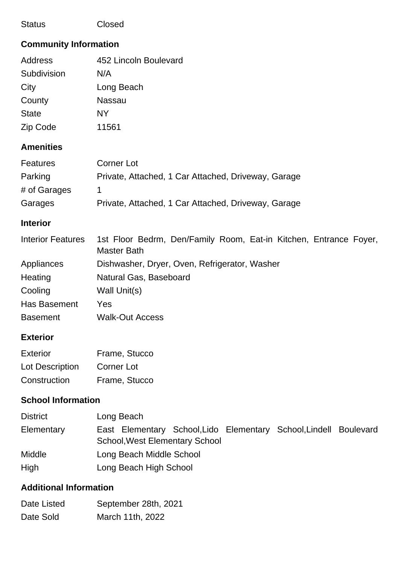## Status Closed

# **Community Information**

| Address      | 452 Lincoln Boulevard |
|--------------|-----------------------|
| Subdivision  | N/A                   |
| City         | Long Beach            |
| County       | Nassau                |
| <b>State</b> | NΥ                    |
| Zip Code     | 11561                 |

# **Amenities**

| <b>Features</b> | Corner Lot                                          |
|-----------------|-----------------------------------------------------|
| Parking         | Private, Attached, 1 Car Attached, Driveway, Garage |
| # of Garages    |                                                     |
| Garages         | Private, Attached, 1 Car Attached, Driveway, Garage |

## **Interior**

| <b>Interior Features</b> | 1st Floor Bedrm, Den/Family Room, Eat-in Kitchen, Entrance Foyer,<br>Master Bath |
|--------------------------|----------------------------------------------------------------------------------|
| Appliances               | Dishwasher, Dryer, Oven, Refrigerator, Washer                                    |
| Heating                  | Natural Gas, Baseboard                                                           |
| Cooling                  | Wall Unit(s)                                                                     |
| Has Basement             | Yes                                                                              |
| <b>Basement</b>          | <b>Walk-Out Access</b>                                                           |

# **Exterior**

| Exterior        | Frame, Stucco |
|-----------------|---------------|
| Lot Description | Corner Lot    |
| Construction    | Frame, Stucco |

# **School Information**

| <b>District</b> | Long Beach                                                                                                 |
|-----------------|------------------------------------------------------------------------------------------------------------|
| Elementary      | East Elementary School, Lido Elementary School, Lindell Boulevard<br><b>School, West Elementary School</b> |
| Middle          | Long Beach Middle School                                                                                   |
| High            | Long Beach High School                                                                                     |

# **Additional Information**

| Date Listed | September 28th, 2021 |
|-------------|----------------------|
| Date Sold   | March 11th, 2022     |